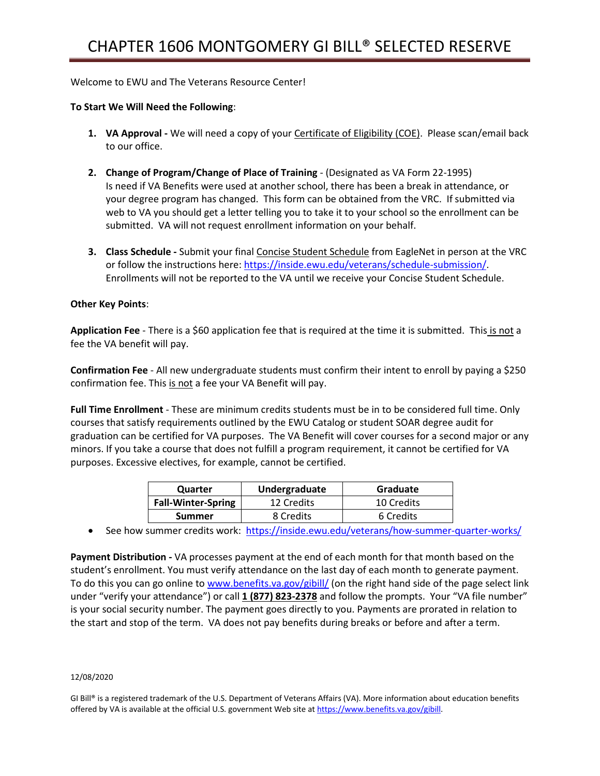## Welcome to EWU and The Veterans Resource Center!

## **To Start We Will Need the Following**:

- **1. VA Approval -** We will need a copy of your Certificate of Eligibility (COE). Please scan/email back to our office.
- **2. Change of Program/Change of Place of Training**  (Designated as VA Form 22-1995) Is need if VA Benefits were used at another school, there has been a break in attendance, or your degree program has changed. This form can be obtained from the VRC. If submitted via web to VA you should get a letter telling you to take it to your school so the enrollment can be submitted. VA will not request enrollment information on your behalf.
- **3. Class Schedule -** Submit your final Concise Student Schedule from EagleNet in person at the VRC or follow the instructions here: [https://inside.ewu.edu/veterans/schedule-submission/.](https://inside.ewu.edu/veterans/schedule-submission/) Enrollments will not be reported to the VA until we receive your Concise Student Schedule.

## **Other Key Points**:

**Application Fee** - There is a \$60 application fee that is required at the time it is submitted. This is not a fee the VA benefit will pay.

**Confirmation Fee** - All new undergraduate students must confirm their intent to enroll by paying a \$250 confirmation fee. This is not a fee your VA Benefit will pay.

**Full Time Enrollment** - These are minimum credits students must be in to be considered full time. Only courses that satisfy requirements outlined by the EWU Catalog or student SOAR degree audit for graduation can be certified for VA purposes. The VA Benefit will cover courses for a second major or any minors. If you take a course that does not fulfill a program requirement, it cannot be certified for VA purposes. Excessive electives, for example, cannot be certified.

| Quarter                   | Undergraduate | Graduate   |
|---------------------------|---------------|------------|
| <b>Fall-Winter-Spring</b> | 12 Credits    | 10 Credits |
| <b>Summer</b>             | 8 Credits     | 6 Credits  |

• See how summer credits work: <https://inside.ewu.edu/veterans/how-summer-quarter-works/>

**Payment Distribution -** VA processes payment at the end of each month for that month based on the student's enrollment. You must verify attendance on the last day of each month to generate payment. To do this you can go online t[o www.benefits.va.gov/gibill/](http://www.benefits.va.gov/gibill/) (on the right hand side of the page select link under "verify your attendance") or call **1 (877) 823-2378** and follow the prompts. Your "VA file number" is your social security number. The payment goes directly to you. Payments are prorated in relation to the start and stop of the term. VA does not pay benefits during breaks or before and after a term.

## 12/08/2020

GI Bill® is a registered trademark of the U.S. Department of Veterans Affairs (VA). More information about education benefits offered by VA is available at the official U.S. government Web site a[t https://www.benefits.va.gov/gibill.](https://www.benefits.va.gov/gibill)